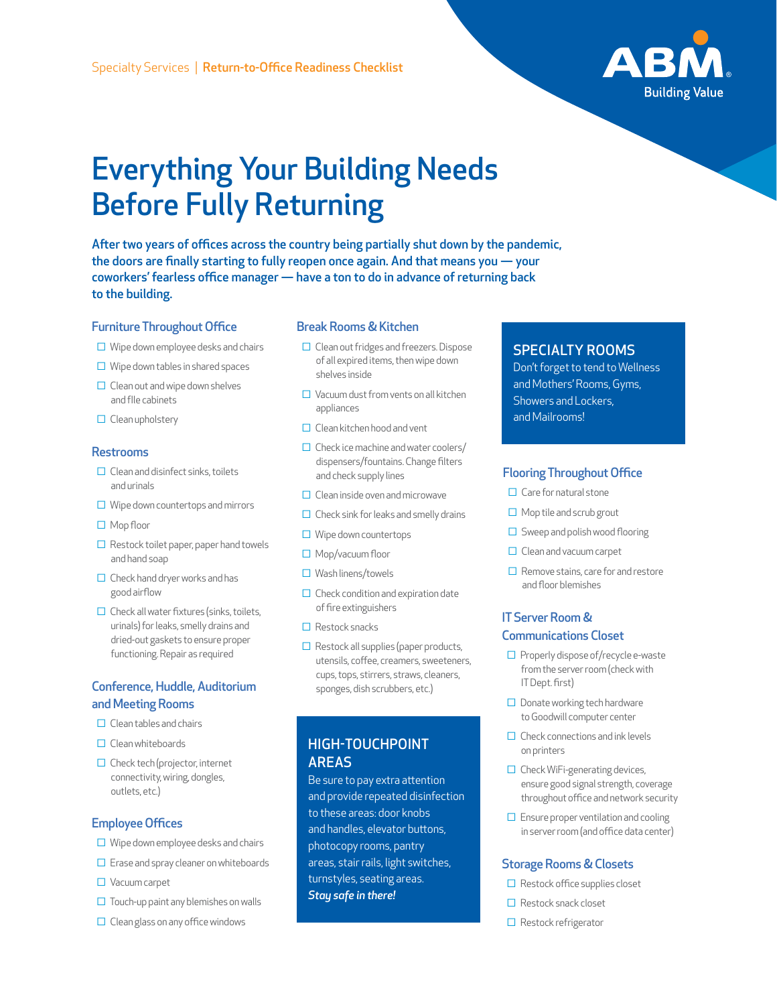

# Everything Your Building Needs Before Fully Returning

After two years of offices across the country being partially shut down by the pandemic, the doors are finally starting to fully reopen once again. And that means you — your coworkers' fearless office manager — have a ton to do in advance of returning back to the building.

#### Furniture Throughout Office

- $\square$  Wipe down employee desks and chairs
- $\Box$  Wipe down tables in shared spaces
- $\Box$  Clean out and wipe down shelves and fIle cabinets
- □ Clean upholstery

#### Restrooms

- $\Box$  Clean and disinfect sinks, toilets and urinals
- $\Box$  Wipe down countertops and mirrors
- □ Mop floor
- $\Box$  Restock toilet paper, paper hand towels and hand soap
- □ Check hand dryer works and has good airflow
- $\Box$  Check all water fixtures (sinks, toilets, urinals) for leaks, smelly drains and dried-out gaskets to ensure proper functioning. Repair as required

# Conference, Huddle, Auditorium and Meeting Rooms

- $\Box$  Clean tables and chairs
- □ Clean whiteboards
- $\Box$  Check tech (projector, internet connectivity, wiring, dongles, outlets, etc.)

#### Employee Offices

- $\Box$  Wipe down employee desks and chairs
- $\Box$  Erase and spray cleaner on whiteboards
- □ Vacuum carpet
- $\Box$  Touch-up paint any blemishes on walls
- $\Box$  Clean glass on any office windows

#### Break Rooms & Kitchen

- □ Clean out fridges and freezers. Dispose of all expired items, then wipe down shelves inside
- $\Box$  Vacuum dust from vents on all kitchen appliances
- $\Box$  Clean kitchen hood and vent
- $\Box$  Check ice machine and water coolers/ dispensers/fountains. Change filters and check supply lines
- $\Box$  Clean inside oven and microwave
- $\Box$  Check sink for leaks and smelly drains
- $\Box$  Wipe down countertops
- □ Mop/vacuum floor
- □ Wash linens/towels
- $\Box$  Check condition and expiration date of fire extinguishers
- □ Restock snacks
- $\Box$  Restock all supplies (paper products, utensils, coffee, creamers, sweeteners, cups, tops, stirrers, straws, cleaners, sponges, dish scrubbers, etc.)

# HIGH-TOUCHPOINT AREAS

Be sure to pay extra attention and provide repeated disinfection to these areas: door knobs and handles, elevator buttons, photocopy rooms, pantry areas, stair rails, light switches, turnstyles, seating areas. *Stay safe in there!*

# SPECIALTY ROOMS

Don't forget to tend to Wellness and Mothers' Rooms, Gyms, Showers and Lockers, and Mailrooms!

#### Flooring Throughout Office

- $\Box$  Care for natural stone
- $\Box$  Mop tile and scrub grout
- $\Box$  Sweep and polish wood flooring
- □ Clean and vacuum carpet
- $\Box$  Remove stains, care for and restore and floor blemishes

## IT Server Room & Communications Closet

- □ Properly dispose of/recycle e-waste from the server room (check with IT Dept. first)
- □ Donate working tech hardware to Goodwill computer center
- $\Box$  Check connections and ink levels on printers
- $\Box$  Check WiFi-generating devices, ensure good signal strength, coverage throughout office and network security
- $\Box$  Ensure proper ventilation and cooling in server room (and office data center)

#### Storage Rooms & Closets

- $\Box$  Restock office supplies closet
- □ Restock snack closet
- □ Restock refrigerator